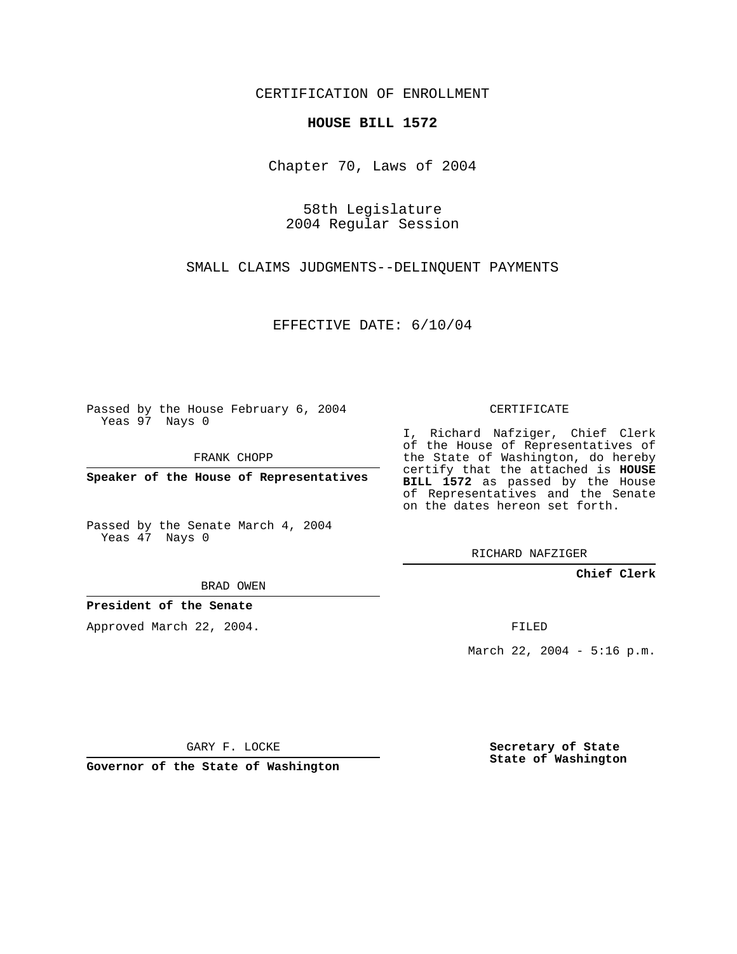CERTIFICATION OF ENROLLMENT

## **HOUSE BILL 1572**

Chapter 70, Laws of 2004

58th Legislature 2004 Regular Session

SMALL CLAIMS JUDGMENTS--DELINQUENT PAYMENTS

EFFECTIVE DATE: 6/10/04

Passed by the House February 6, 2004 Yeas 97 Nays 0

FRANK CHOPP

**Speaker of the House of Representatives**

Passed by the Senate March 4, 2004 Yeas 47 Nays 0

I, Richard Nafziger, Chief Clerk of the House of Representatives of the State of Washington, do hereby certify that the attached is **HOUSE BILL 1572** as passed by the House of Representatives and the Senate on the dates hereon set forth.

CERTIFICATE

RICHARD NAFZIGER

**Chief Clerk**

BRAD OWEN

**President of the Senate**

Approved March 22, 2004.

FILED

March 22, 2004 - 5:16 p.m.

GARY F. LOCKE

**Governor of the State of Washington**

**Secretary of State State of Washington**